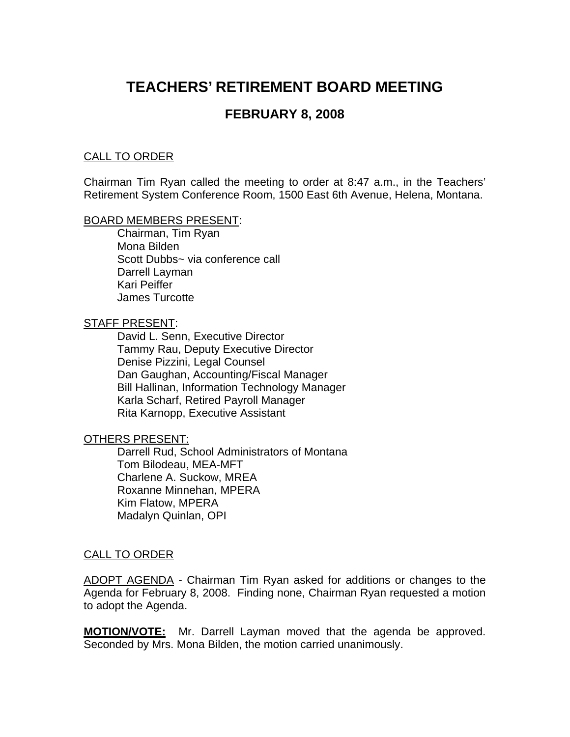# **TEACHERS' RETIREMENT BOARD MEETING**

# **FEBRUARY 8, 2008**

## CALL TO ORDER

Chairman Tim Ryan called the meeting to order at 8:47 a.m., in the Teachers' Retirement System Conference Room, 1500 East 6th Avenue, Helena, Montana.

## BOARD MEMBERS PRESENT:

Chairman, Tim Ryan Mona Bilden Scott Dubbs~ via conference call Darrell Layman Kari Peiffer James Turcotte

#### STAFF PRESENT:

David L. Senn, Executive Director Tammy Rau, Deputy Executive Director Denise Pizzini, Legal Counsel Dan Gaughan, Accounting/Fiscal Manager Bill Hallinan, Information Technology Manager Karla Scharf, Retired Payroll Manager Rita Karnopp, Executive Assistant

## OTHERS PRESENT:

Darrell Rud, School Administrators of Montana Tom Bilodeau, MEA-MFT Charlene A. Suckow, MREA Roxanne Minnehan, MPERA Kim Flatow, MPERA Madalyn Quinlan, OPI

## CALL TO ORDER

ADOPT AGENDA - Chairman Tim Ryan asked for additions or changes to the Agenda for February 8, 2008. Finding none, Chairman Ryan requested a motion to adopt the Agenda.

**MOTION/VOTE:** Mr. Darrell Layman moved that the agenda be approved. Seconded by Mrs. Mona Bilden, the motion carried unanimously.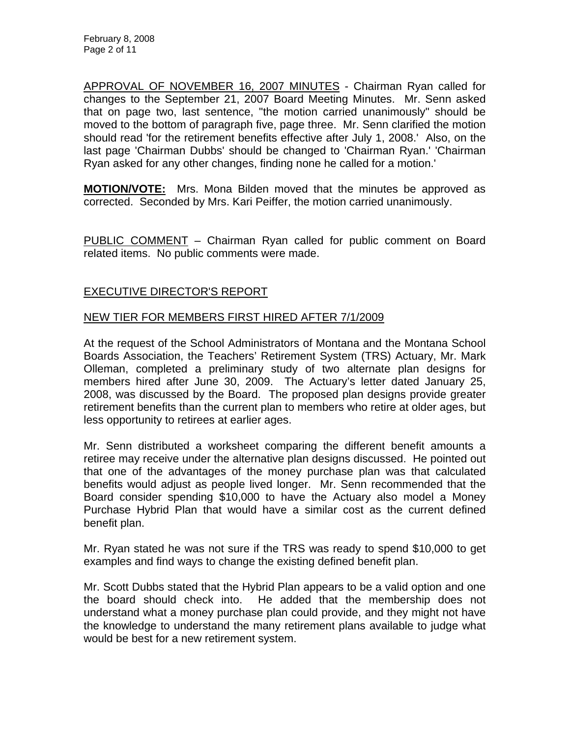APPROVAL OF NOVEMBER 16, 2007 MINUTES - Chairman Ryan called for changes to the September 21, 2007 Board Meeting Minutes. Mr. Senn asked that on page two, last sentence, "the motion carried unanimously" should be moved to the bottom of paragraph five, page three. Mr. Senn clarified the motion should read 'for the retirement benefits effective after July 1, 2008.' Also, on the last page 'Chairman Dubbs' should be changed to 'Chairman Ryan.' 'Chairman Ryan asked for any other changes, finding none he called for a motion.'

**MOTION/VOTE:** Mrs. Mona Bilden moved that the minutes be approved as corrected. Seconded by Mrs. Kari Peiffer, the motion carried unanimously.

PUBLIC COMMENT – Chairman Ryan called for public comment on Board related items. No public comments were made.

# EXECUTIVE DIRECTOR'S REPORT

# NEW TIER FOR MEMBERS FIRST HIRED AFTER 7/1/2009

At the request of the School Administrators of Montana and the Montana School Boards Association, the Teachers' Retirement System (TRS) Actuary, Mr. Mark Olleman, completed a preliminary study of two alternate plan designs for members hired after June 30, 2009. The Actuary's letter dated January 25, 2008, was discussed by the Board. The proposed plan designs provide greater retirement benefits than the current plan to members who retire at older ages, but less opportunity to retirees at earlier ages.

Mr. Senn distributed a worksheet comparing the different benefit amounts a retiree may receive under the alternative plan designs discussed. He pointed out that one of the advantages of the money purchase plan was that calculated benefits would adjust as people lived longer. Mr. Senn recommended that the Board consider spending \$10,000 to have the Actuary also model a Money Purchase Hybrid Plan that would have a similar cost as the current defined benefit plan.

Mr. Ryan stated he was not sure if the TRS was ready to spend \$10,000 to get examples and find ways to change the existing defined benefit plan.

Mr. Scott Dubbs stated that the Hybrid Plan appears to be a valid option and one the board should check into. He added that the membership does not understand what a money purchase plan could provide, and they might not have the knowledge to understand the many retirement plans available to judge what would be best for a new retirement system.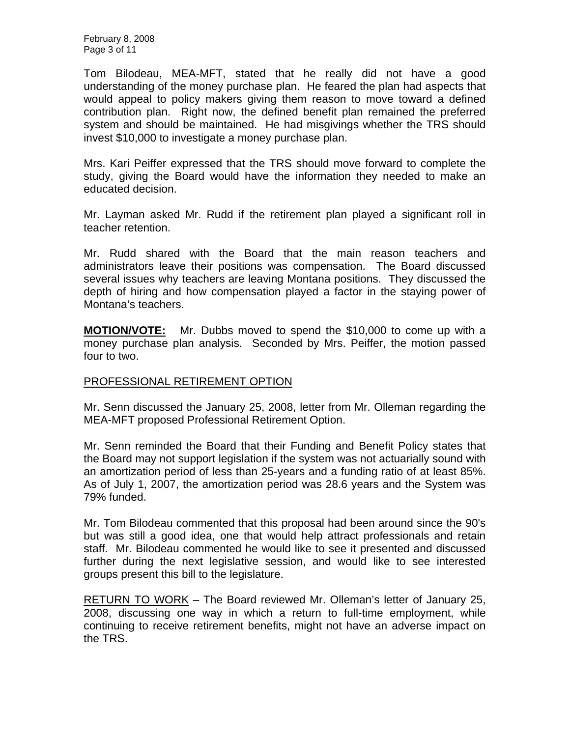February 8, 2008 Page 3 of 11

Tom Bilodeau, MEA-MFT, stated that he really did not have a good understanding of the money purchase plan. He feared the plan had aspects that would appeal to policy makers giving them reason to move toward a defined contribution plan. Right now, the defined benefit plan remained the preferred system and should be maintained. He had misgivings whether the TRS should invest \$10,000 to investigate a money purchase plan.

Mrs. Kari Peiffer expressed that the TRS should move forward to complete the study, giving the Board would have the information they needed to make an educated decision.

Mr. Layman asked Mr. Rudd if the retirement plan played a significant roll in teacher retention.

Mr. Rudd shared with the Board that the main reason teachers and administrators leave their positions was compensation. The Board discussed several issues why teachers are leaving Montana positions. They discussed the depth of hiring and how compensation played a factor in the staying power of Montana's teachers.

**MOTION/VOTE:** Mr. Dubbs moved to spend the \$10,000 to come up with a money purchase plan analysis. Seconded by Mrs. Peiffer, the motion passed four to two.

# PROFESSIONAL RETIREMENT OPTION

Mr. Senn discussed the January 25, 2008, letter from Mr. Olleman regarding the MEA-MFT proposed Professional Retirement Option.

Mr. Senn reminded the Board that their Funding and Benefit Policy states that the Board may not support legislation if the system was not actuarially sound with an amortization period of less than 25-years and a funding ratio of at least 85%. As of July 1, 2007, the amortization period was 28.6 years and the System was 79% funded.

Mr. Tom Bilodeau commented that this proposal had been around since the 90's but was still a good idea, one that would help attract professionals and retain staff. Mr. Bilodeau commented he would like to see it presented and discussed further during the next legislative session, and would like to see interested groups present this bill to the legislature.

RETURN TO WORK – The Board reviewed Mr. Olleman's letter of January 25, 2008, discussing one way in which a return to full-time employment, while continuing to receive retirement benefits, might not have an adverse impact on the TRS.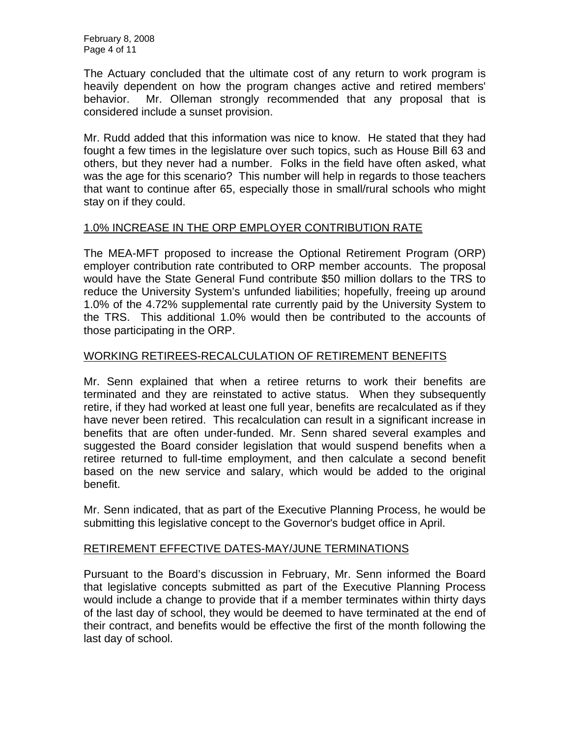The Actuary concluded that the ultimate cost of any return to work program is heavily dependent on how the program changes active and retired members' behavior. Mr. Olleman strongly recommended that any proposal that is considered include a sunset provision.

Mr. Rudd added that this information was nice to know. He stated that they had fought a few times in the legislature over such topics, such as House Bill 63 and others, but they never had a number. Folks in the field have often asked, what was the age for this scenario? This number will help in regards to those teachers that want to continue after 65, especially those in small/rural schools who might stay on if they could.

# 1.0% INCREASE IN THE ORP EMPLOYER CONTRIBUTION RATE

The MEA-MFT proposed to increase the Optional Retirement Program (ORP) employer contribution rate contributed to ORP member accounts. The proposal would have the State General Fund contribute \$50 million dollars to the TRS to reduce the University System's unfunded liabilities; hopefully, freeing up around 1.0% of the 4.72% supplemental rate currently paid by the University System to the TRS. This additional 1.0% would then be contributed to the accounts of those participating in the ORP.

# WORKING RETIREES-RECALCULATION OF RETIREMENT BENEFITS

Mr. Senn explained that when a retiree returns to work their benefits are terminated and they are reinstated to active status. When they subsequently retire, if they had worked at least one full year, benefits are recalculated as if they have never been retired. This recalculation can result in a significant increase in benefits that are often under-funded. Mr. Senn shared several examples and suggested the Board consider legislation that would suspend benefits when a retiree returned to full-time employment, and then calculate a second benefit based on the new service and salary, which would be added to the original benefit.

Mr. Senn indicated, that as part of the Executive Planning Process, he would be submitting this legislative concept to the Governor's budget office in April.

# RETIREMENT EFFECTIVE DATES-MAY/JUNE TERMINATIONS

Pursuant to the Board's discussion in February, Mr. Senn informed the Board that legislative concepts submitted as part of the Executive Planning Process would include a change to provide that if a member terminates within thirty days of the last day of school, they would be deemed to have terminated at the end of their contract, and benefits would be effective the first of the month following the last day of school.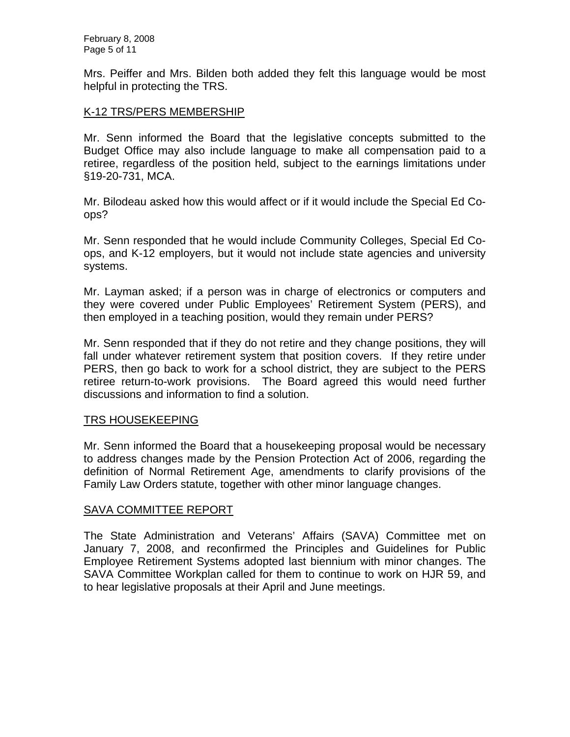February 8, 2008 Page 5 of 11

Mrs. Peiffer and Mrs. Bilden both added they felt this language would be most helpful in protecting the TRS.

## K-12 TRS/PERS MEMBERSHIP

Mr. Senn informed the Board that the legislative concepts submitted to the Budget Office may also include language to make all compensation paid to a retiree, regardless of the position held, subject to the earnings limitations under §19-20-731, MCA.

Mr. Bilodeau asked how this would affect or if it would include the Special Ed Coops?

Mr. Senn responded that he would include Community Colleges, Special Ed Coops, and K-12 employers, but it would not include state agencies and university systems.

Mr. Layman asked; if a person was in charge of electronics or computers and they were covered under Public Employees' Retirement System (PERS), and then employed in a teaching position, would they remain under PERS?

Mr. Senn responded that if they do not retire and they change positions, they will fall under whatever retirement system that position covers. If they retire under PERS, then go back to work for a school district, they are subject to the PERS retiree return-to-work provisions. The Board agreed this would need further discussions and information to find a solution.

## TRS HOUSEKEEPING

Mr. Senn informed the Board that a housekeeping proposal would be necessary to address changes made by the Pension Protection Act of 2006, regarding the definition of Normal Retirement Age, amendments to clarify provisions of the Family Law Orders statute, together with other minor language changes.

# SAVA COMMITTEE REPORT

The State Administration and Veterans' Affairs (SAVA) Committee met on January 7, 2008, and reconfirmed the Principles and Guidelines for Public Employee Retirement Systems adopted last biennium with minor changes. The SAVA Committee Workplan called for them to continue to work on HJR 59, and to hear legislative proposals at their April and June meetings.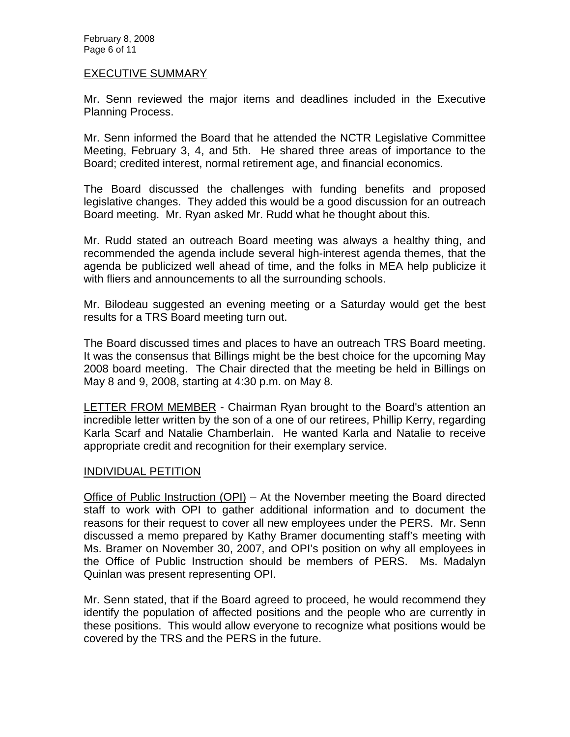February 8, 2008 Page 6 of 11

#### EXECUTIVE SUMMARY

Mr. Senn reviewed the major items and deadlines included in the Executive Planning Process.

Mr. Senn informed the Board that he attended the NCTR Legislative Committee Meeting, February 3, 4, and 5th. He shared three areas of importance to the Board; credited interest, normal retirement age, and financial economics.

The Board discussed the challenges with funding benefits and proposed legislative changes. They added this would be a good discussion for an outreach Board meeting. Mr. Ryan asked Mr. Rudd what he thought about this.

Mr. Rudd stated an outreach Board meeting was always a healthy thing, and recommended the agenda include several high-interest agenda themes, that the agenda be publicized well ahead of time, and the folks in MEA help publicize it with fliers and announcements to all the surrounding schools.

Mr. Bilodeau suggested an evening meeting or a Saturday would get the best results for a TRS Board meeting turn out.

The Board discussed times and places to have an outreach TRS Board meeting. It was the consensus that Billings might be the best choice for the upcoming May 2008 board meeting. The Chair directed that the meeting be held in Billings on May 8 and 9, 2008, starting at 4:30 p.m. on May 8.

**LETTER FROM MEMBER** - Chairman Ryan brought to the Board's attention an incredible letter written by the son of a one of our retirees, Phillip Kerry, regarding Karla Scarf and Natalie Chamberlain. He wanted Karla and Natalie to receive appropriate credit and recognition for their exemplary service.

## INDIVIDUAL PETITION

Office of Public Instruction (OPI) – At the November meeting the Board directed staff to work with OPI to gather additional information and to document the reasons for their request to cover all new employees under the PERS. Mr. Senn discussed a memo prepared by Kathy Bramer documenting staff's meeting with Ms. Bramer on November 30, 2007, and OPI's position on why all employees in the Office of Public Instruction should be members of PERS. Ms. Madalyn Quinlan was present representing OPI.

Mr. Senn stated, that if the Board agreed to proceed, he would recommend they identify the population of affected positions and the people who are currently in these positions. This would allow everyone to recognize what positions would be covered by the TRS and the PERS in the future.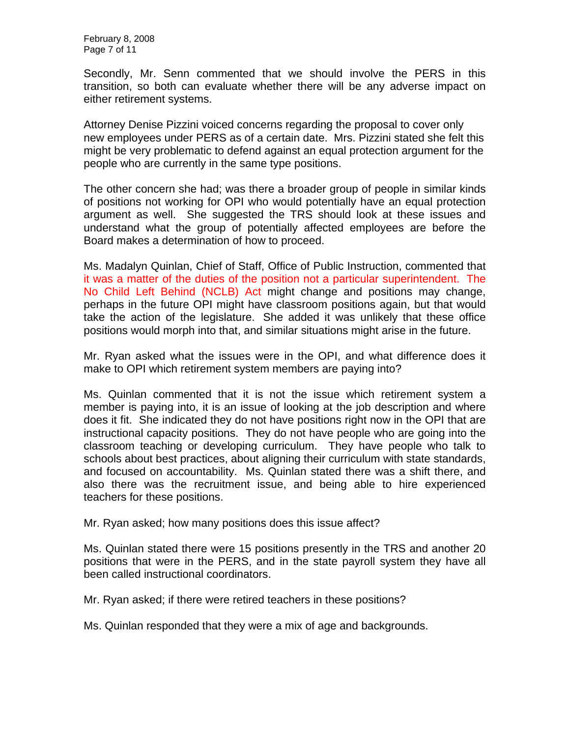February 8, 2008 Page 7 of 11

Secondly, Mr. Senn commented that we should involve the PERS in this transition, so both can evaluate whether there will be any adverse impact on either retirement systems.

Attorney Denise Pizzini voiced concerns regarding the proposal to cover only new employees under PERS as of a certain date. Mrs. Pizzini stated she felt this might be very problematic to defend against an equal protection argument for the people who are currently in the same type positions.

The other concern she had; was there a broader group of people in similar kinds of positions not working for OPI who would potentially have an equal protection argument as well. She suggested the TRS should look at these issues and understand what the group of potentially affected employees are before the Board makes a determination of how to proceed.

Ms. Madalyn Quinlan, Chief of Staff, Office of Public Instruction, commented that it was a matter of the duties of the position not a particular superintendent. The No Child Left Behind (NCLB) Act might change and positions may change, perhaps in the future OPI might have classroom positions again, but that would take the action of the legislature. She added it was unlikely that these office positions would morph into that, and similar situations might arise in the future.

Mr. Ryan asked what the issues were in the OPI, and what difference does it make to OPI which retirement system members are paying into?

Ms. Quinlan commented that it is not the issue which retirement system a member is paying into, it is an issue of looking at the job description and where does it fit. She indicated they do not have positions right now in the OPI that are instructional capacity positions. They do not have people who are going into the classroom teaching or developing curriculum. They have people who talk to schools about best practices, about aligning their curriculum with state standards, and focused on accountability. Ms. Quinlan stated there was a shift there, and also there was the recruitment issue, and being able to hire experienced teachers for these positions.

Mr. Ryan asked; how many positions does this issue affect?

Ms. Quinlan stated there were 15 positions presently in the TRS and another 20 positions that were in the PERS, and in the state payroll system they have all been called instructional coordinators.

Mr. Ryan asked; if there were retired teachers in these positions?

Ms. Quinlan responded that they were a mix of age and backgrounds.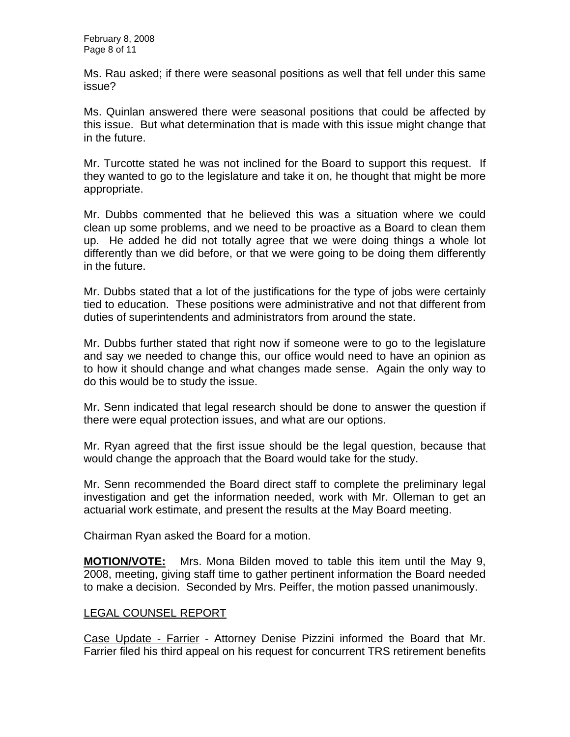February 8, 2008 Page 8 of 11

Ms. Rau asked; if there were seasonal positions as well that fell under this same issue?

Ms. Quinlan answered there were seasonal positions that could be affected by this issue. But what determination that is made with this issue might change that in the future.

Mr. Turcotte stated he was not inclined for the Board to support this request. If they wanted to go to the legislature and take it on, he thought that might be more appropriate.

Mr. Dubbs commented that he believed this was a situation where we could clean up some problems, and we need to be proactive as a Board to clean them up. He added he did not totally agree that we were doing things a whole lot differently than we did before, or that we were going to be doing them differently in the future.

Mr. Dubbs stated that a lot of the justifications for the type of jobs were certainly tied to education. These positions were administrative and not that different from duties of superintendents and administrators from around the state.

Mr. Dubbs further stated that right now if someone were to go to the legislature and say we needed to change this, our office would need to have an opinion as to how it should change and what changes made sense. Again the only way to do this would be to study the issue.

Mr. Senn indicated that legal research should be done to answer the question if there were equal protection issues, and what are our options.

Mr. Ryan agreed that the first issue should be the legal question, because that would change the approach that the Board would take for the study.

Mr. Senn recommended the Board direct staff to complete the preliminary legal investigation and get the information needed, work with Mr. Olleman to get an actuarial work estimate, and present the results at the May Board meeting.

Chairman Ryan asked the Board for a motion.

**MOTION/VOTE:** Mrs. Mona Bilden moved to table this item until the May 9, 2008, meeting, giving staff time to gather pertinent information the Board needed to make a decision. Seconded by Mrs. Peiffer, the motion passed unanimously.

# LEGAL COUNSEL REPORT

Case Update - Farrier - Attorney Denise Pizzini informed the Board that Mr. Farrier filed his third appeal on his request for concurrent TRS retirement benefits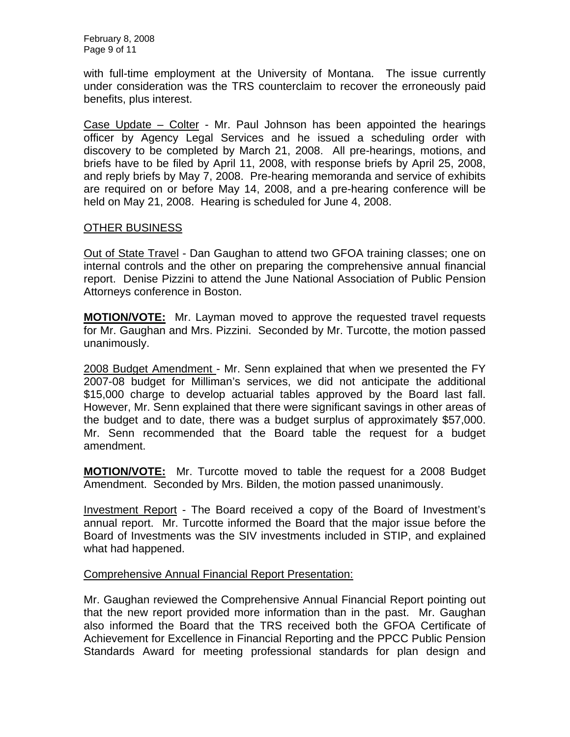February 8, 2008 Page 9 of 11

with full-time employment at the University of Montana. The issue currently under consideration was the TRS counterclaim to recover the erroneously paid benefits, plus interest.

Case Update – Colter - Mr. Paul Johnson has been appointed the hearings officer by Agency Legal Services and he issued a scheduling order with discovery to be completed by March 21, 2008. All pre-hearings, motions, and briefs have to be filed by April 11, 2008, with response briefs by April 25, 2008, and reply briefs by May 7, 2008. Pre-hearing memoranda and service of exhibits are required on or before May 14, 2008, and a pre-hearing conference will be held on May 21, 2008. Hearing is scheduled for June 4, 2008.

## OTHER BUSINESS

Out of State Travel - Dan Gaughan to attend two GFOA training classes; one on internal controls and the other on preparing the comprehensive annual financial report. Denise Pizzini to attend the June National Association of Public Pension Attorneys conference in Boston.

**MOTION/VOTE:** Mr. Layman moved to approve the requested travel requests for Mr. Gaughan and Mrs. Pizzini. Seconded by Mr. Turcotte, the motion passed unanimously.

2008 Budget Amendment - Mr. Senn explained that when we presented the FY 2007-08 budget for Milliman's services, we did not anticipate the additional \$15,000 charge to develop actuarial tables approved by the Board last fall. However, Mr. Senn explained that there were significant savings in other areas of the budget and to date, there was a budget surplus of approximately \$57,000. Mr. Senn recommended that the Board table the request for a budget amendment.

**MOTION/VOTE:** Mr. Turcotte moved to table the request for a 2008 Budget Amendment. Seconded by Mrs. Bilden, the motion passed unanimously.

Investment Report - The Board received a copy of the Board of Investment's annual report. Mr. Turcotte informed the Board that the major issue before the Board of Investments was the SIV investments included in STIP, and explained what had happened.

# Comprehensive Annual Financial Report Presentation:

Mr. Gaughan reviewed the Comprehensive Annual Financial Report pointing out that the new report provided more information than in the past. Mr. Gaughan also informed the Board that the TRS received both the GFOA Certificate of Achievement for Excellence in Financial Reporting and the PPCC Public Pension Standards Award for meeting professional standards for plan design and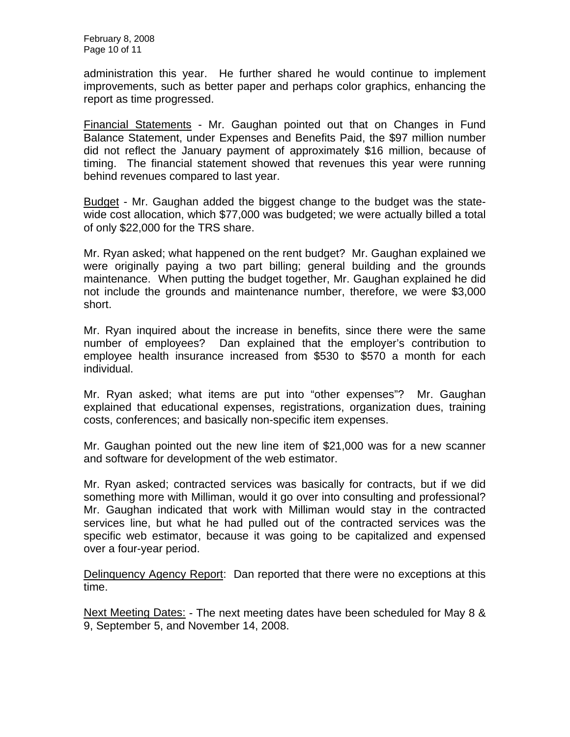administration this year. He further shared he would continue to implement improvements, such as better paper and perhaps color graphics, enhancing the report as time progressed.

Financial Statements - Mr. Gaughan pointed out that on Changes in Fund Balance Statement, under Expenses and Benefits Paid, the \$97 million number did not reflect the January payment of approximately \$16 million, because of timing. The financial statement showed that revenues this year were running behind revenues compared to last year.

Budget - Mr. Gaughan added the biggest change to the budget was the statewide cost allocation, which \$77,000 was budgeted; we were actually billed a total of only \$22,000 for the TRS share.

Mr. Ryan asked; what happened on the rent budget? Mr. Gaughan explained we were originally paying a two part billing; general building and the grounds maintenance. When putting the budget together, Mr. Gaughan explained he did not include the grounds and maintenance number, therefore, we were \$3,000 short.

Mr. Ryan inquired about the increase in benefits, since there were the same number of employees? Dan explained that the employer's contribution to employee health insurance increased from \$530 to \$570 a month for each individual.

Mr. Ryan asked; what items are put into "other expenses"? Mr. Gaughan explained that educational expenses, registrations, organization dues, training costs, conferences; and basically non-specific item expenses.

Mr. Gaughan pointed out the new line item of \$21,000 was for a new scanner and software for development of the web estimator.

Mr. Ryan asked; contracted services was basically for contracts, but if we did something more with Milliman, would it go over into consulting and professional? Mr. Gaughan indicated that work with Milliman would stay in the contracted services line, but what he had pulled out of the contracted services was the specific web estimator, because it was going to be capitalized and expensed over a four-year period.

Delinquency Agency Report: Dan reported that there were no exceptions at this time.

Next Meeting Dates: - The next meeting dates have been scheduled for May 8 & 9, September 5, and November 14, 2008.